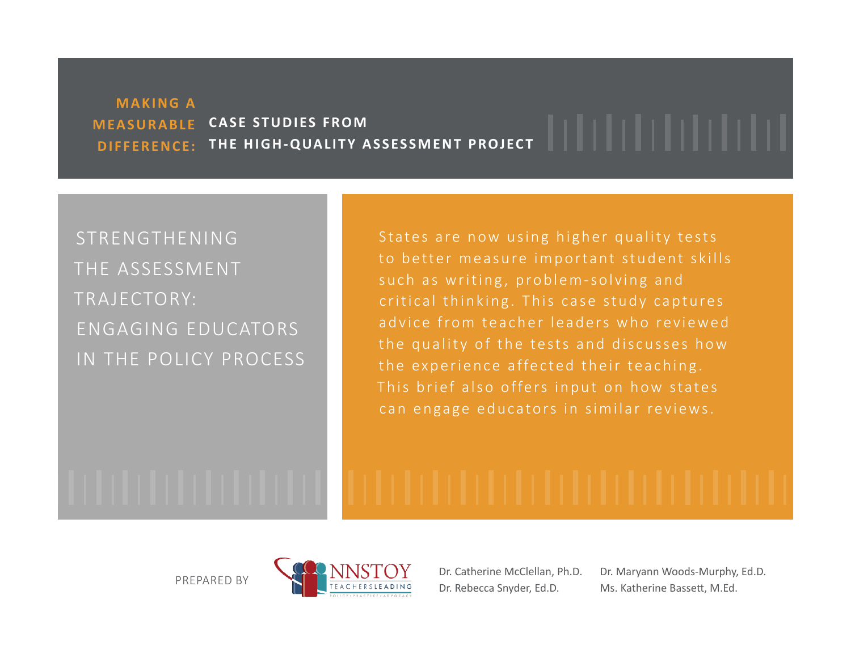## **MAKING A M EA S U R A B L E DIFFERENCE: THE HIGH-QUALITY ASSESSMENT PROJECT CASE STUDIES FROM**

# STRENGTHENING THE ASSESSMENT TRAJECTORY: ENGAGING EDUCATORS IN THE POLICY PROCESS

States are now using higher quality tests to better measure important student skills such as writing, problem-solving and critical thinking. This case study captures advice from teacher leaders who reviewed the quality of the tests and discusses how the experience affected their teaching. This brief also offers input on how states can engage educators in similar reviews.

PREPARED BY



Dr. Catherine McClellan, Ph.D. Dr. Rebecca Snyder, Ed.D.

Dr. Maryann Woods-Murphy, Ed.D. Ms. Katherine Bassett, M.Ed.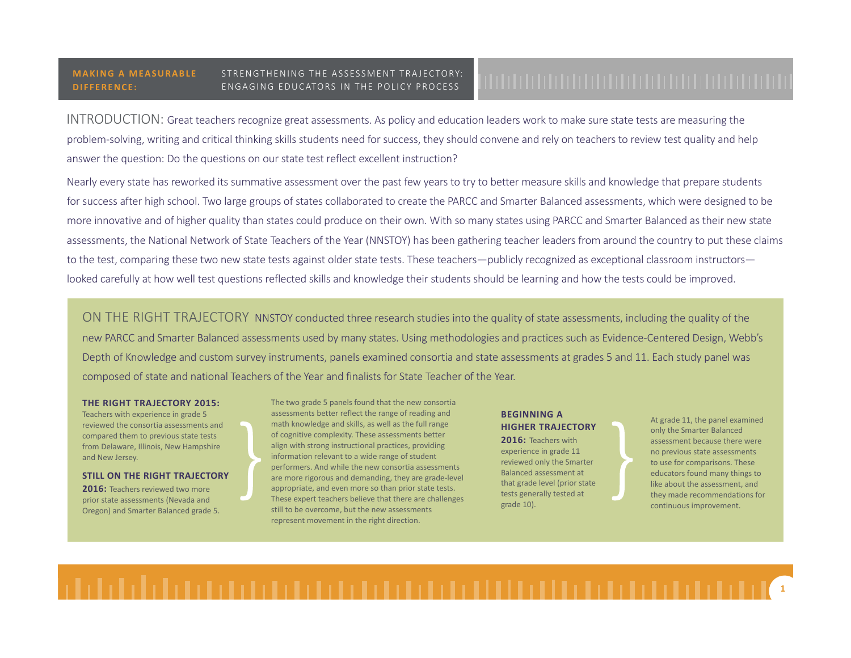INTRODUCTION: Great teachers recognize great assessments. As policy and education leaders work to make sure state tests are measuring the problem-solving, writing and critical thinking skills students need for success, they should convene and rely on teachers to review test quality and help answer the question: Do the questions on our state test reflect excellent instruction?

Nearly every state has reworked its summative assessment over the past few years to try to better measure skills and knowledge that prepare students for success after high school. Two large groups of states collaborated to create the PARCC and Smarter Balanced assessments, which were designed to be more innovative and of higher quality than states could produce on their own. With so many states using PARCC and Smarter Balanced as their new state assessments, the National Network of State Teachers of the Year (NNSTOY) has been gathering teacher leaders from around the country to put these claims to the test, comparing these two new state tests against older state tests. These teachers—publicly recognized as exceptional classroom instructors looked carefully at how well test questions reflected skills and knowledge their students should be learning and how the tests could be improved.

ON THE RIGHT TRAJECTORY NNSTOY conducted three research studies into the quality of state assessments, including the quality of the new PARCC and Smarter Balanced assessments used by many states. Using methodologies and practices such as Evidence-Centered Design, Webb's Depth of Knowledge and custom survey instruments, panels examined consortia and state assessments at grades 5 and 11. Each study panel was composed of state and national Teachers of the Year and finalists for State Teacher of the Year.

### **THE RIGHT TRAJECTORY 2015:**

Teachers with experience in grade 5 reviewed the consortia assessments and compared them to previous state tests from Delaware, Illinois, New Hampshire and New Jersey.

### **STILL ON THE RIGHT TRAJECTORY**

**2016:** Teachers reviewed two more prior state assessments (Nevada and Oregon) and Smarter Balanced grade 5. The two grade 5 panels found that the new consortia assessments better reflect the range of reading and math knowledge and skills, as well as the full range of cognitive complexity. These assessments better align with strong instructional practices, providing information relevant to a wide range of student performers. And while the new consortia assessments are more rigorous and demanding, they are grade-level appropriate, and even more so than prior state tests. These expert teachers believe that there are challenges still to be overcome, but the new assessments represent movement in the right direction.

### **BEGINNING A HIGHER TRAJECTORY**

**2016:** Teachers with experience in grade 11 reviewed only the Smarter Balanced assessment at that grade level (prior state tests generally tested at grade 10).

At grade 11, the panel examined only the Smarter Balanced assessment because there were no previous state assessments to use for comparisons. These educators found many things to like about the assessment, and they made recommendations for continuous improvement.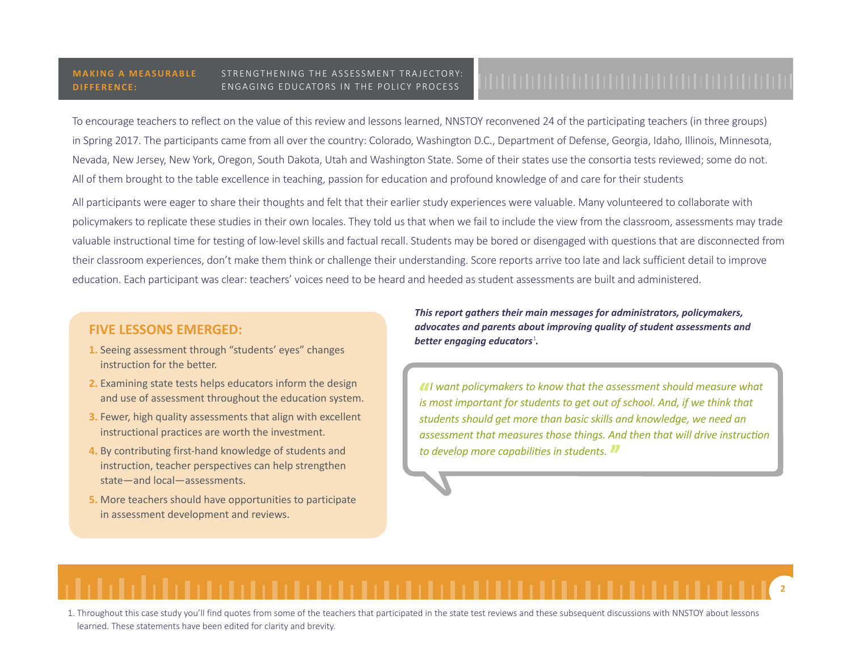To encourage teachers to reflect on the value of this review and lessons learned, NNSTOY reconvened 24 of the participating teachers (in three groups) in Spring 2017. The participants came from all over the country: Colorado, Washington D.C., Department of Defense, Georgia, Idaho, Illinois, Minnesota, Nevada, New Jersey, New York, Oregon, South Dakota, Utah and Washington State. Some of their states use the consortia tests reviewed; some do not. All of them brought to the table excellence in teaching, passion for education and profound knowledge of and care for their students

All participants were eager to share their thoughts and felt that their earlier study experiences were valuable. Many volunteered to collaborate with policymakers to replicate these studies in their own locales. They told us that when we fail to include the view from the classroom, assessments may trade valuable instructional time for testing of low-level skills and factual recall. Students may be bored or disengaged with questions that are disconnected from their classroom experiences, don't make them think or challenge their understanding. Score reports arrive too late and lack sufficient detail to improve education. Each participant was clear: teachers' voices need to be heard and heeded as student assessments are built and administered.

### *.* **FIVE LESSONS EMERGED:**

- **1.** Seeing assessment through "students' eyes" changes instruction for the better.
- **2.** Examining state tests helps educators inform the design and use of assessment throughout the education system.
- **3.** Fewer, high quality assessments that align with excellent instructional practices are worth the investment.
- **4.** By contributing first-hand knowledge of students and instruction, teacher perspectives can help strengthen state—and local—assessments.
- **5.** More teachers should have opportunities to participate in assessment development and reviews.

*This report gathers their main messages for administrators, policymakers, advocates and parents about improving quality of student assessments and better engaging educators<sup>1</sup>*.

*I want policymakers to know that the assessment should measure what*  is most important for students to get out of school. And, if we think that *students should get more than basic skills and knowledge, we need an assessment that measures those things. And then that will drive instruction to develop more capabilities in students.*

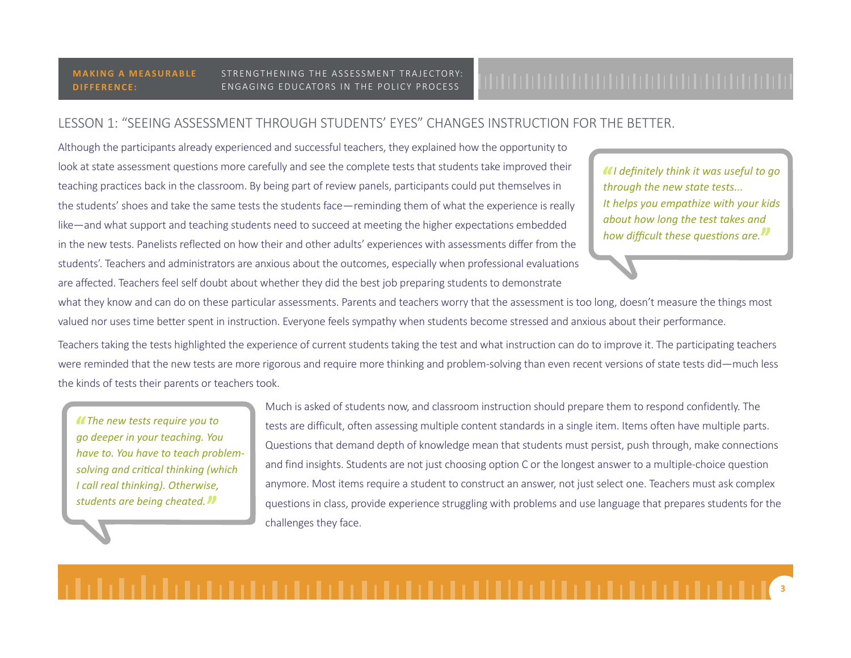# LESSON 1: "SEEING ASSESSMENT THROUGH STUDENTS' EYES" CHANGES INSTRUCTION FOR THE BETTER.

Although the participants already experienced and successful teachers, they explained how the opportunity to look at state assessment questions more carefully and see the complete tests that students take improved their teaching practices back in the classroom. By being part of review panels, participants could put themselves in the students' shoes and take the same tests the students face—reminding them of what the experience is really like—and what support and teaching students need to succeed at meeting the higher expectations embedded in the new tests. Panelists reflected on how their and other adults' experiences with assessments differ from the students'. Teachers and administrators are anxious about the outcomes, especially when professional evaluations are affected. Teachers feel self doubt about whether they did the best job preparing students to demonstrate

*I definitely think it was useful to go through the new state tests... It helps you empathize with your kids about how long the test takes and how difficult these questions are.*

what they know and can do on these particular assessments. Parents and teachers worry that the assessment is too long, doesn't measure the things most valued nor uses time better spent in instruction. Everyone feels sympathy when students become stressed and anxious about their performance.

Teachers taking the tests highlighted the experience of current students taking the test and what instruction can do to improve it. The participating teachers were reminded that the new tests are more rigorous and require more thinking and problem-solving than even recent versions of state tests did—much less the kinds of tests their parents or teachers took.

*The new tests require you to go deeper in your teaching. You have to. You have to teach problemsolving and critical thinking (which I call real thinking). Otherwise, students are being cheated.*

Much is asked of students now, and classroom instruction should prepare them to respond confidently. The tests are difficult, often assessing multiple content standards in a single item. Items often have multiple parts. Questions that demand depth of knowledge mean that students must persist, push through, make connections and find insights. Students are not just choosing option C or the longest answer to a multiple-choice question anymore. Most items require a student to construct an answer, not just select one. Teachers must ask complex questions in class, provide experience struggling with problems and use language that prepares students for the challenges they face.

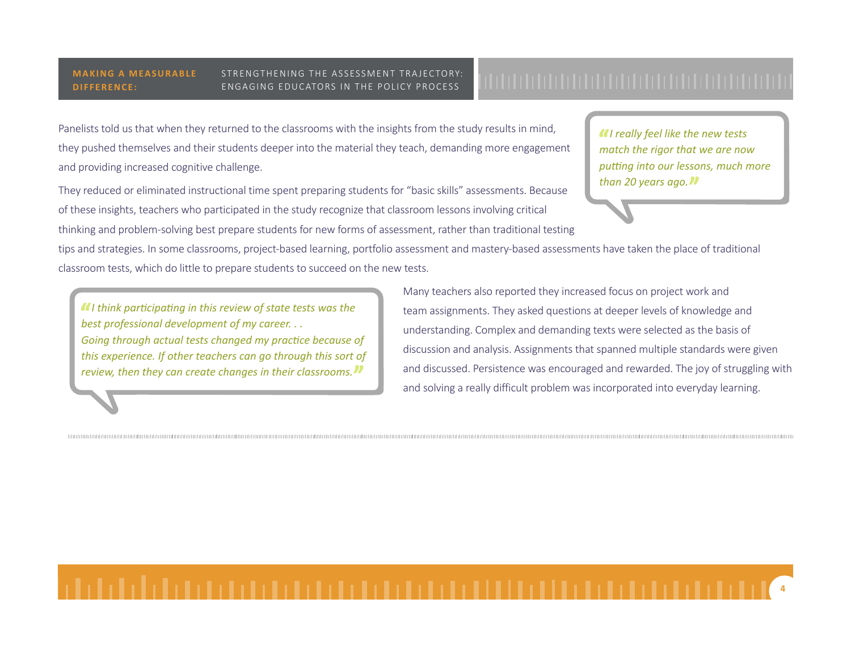Panelists told us that when they returned to the classrooms with the insights from the study results in mind, they pushed themselves and their students deeper into the material they teach, demanding more engagement and providing increased cognitive challenge.

They reduced or eliminated instructional time spent preparing students for "basic skills" assessments. Because of these insights, teachers who participated in the study recognize that classroom lessons involving critical thinking and problem-solving best prepare students for new forms of assessment, rather than traditional testing *I really feel like the new tests match the rigor that we are now putting into our lessons, much more than 20 years ago.*

**4**

tips and strategies. In some classrooms, project-based learning, portfolio assessment and mastery-based assessments have taken the place of traditional classroom tests, which do little to prepare students to succeed on the new tests.

*I think participating in this review of state tests was the best professional development of my career. . . Going through actual tests changed my practice because of this experience. If other teachers can go through this sort of review, then they can create changes in their classrooms.*

Many teachers also reported they increased focus on project work and team assignments. They asked questions at deeper levels of knowledge and understanding. Complex and demanding texts were selected as the basis of discussion and analysis. Assignments that spanned multiple standards were given and discussed. Persistence was encouraged and rewarded. The joy of struggling with and solving a really difficult problem was incorporated into everyday learning.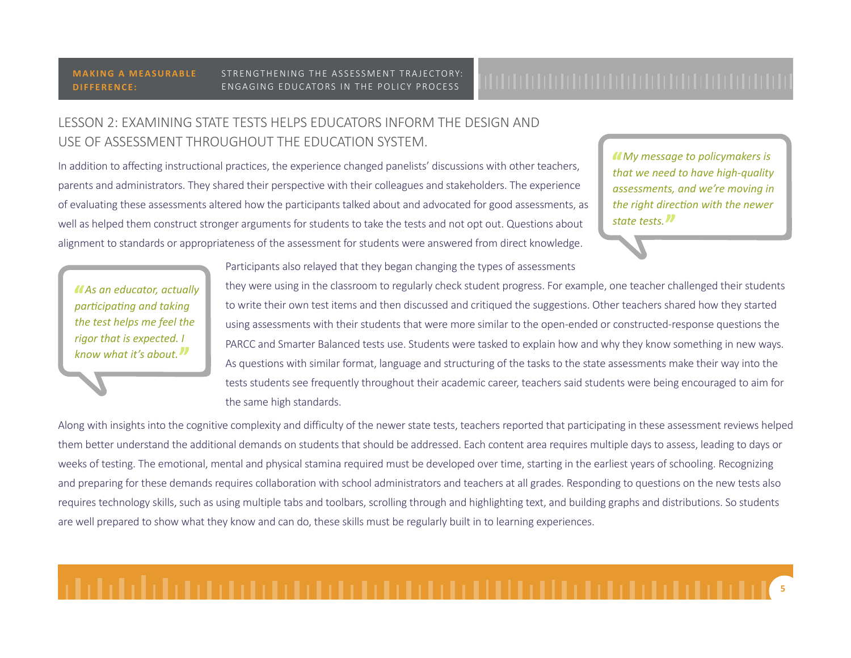### **MAKING A MEASURABLE DIFFERENCE:**

### STRENGTHENING THE ASSESSMENT TRAJECTORY: ENGAGING EDUCATORS IN THE POLICY PROCESS

# LESSON 2: EXAMINING STATE TESTS HELPS EDUCATORS INFORM THE DESIGN AND USE OF ASSESSMENT THROUGHOUT THE EDUCATION SYSTEM.

In addition to affecting instructional practices, the experience changed panelists' discussions with other teachers, parents and administrators. They shared their perspective with their colleagues and stakeholders. The experience of evaluating these assessments altered how the participants talked about and advocated for good assessments, as well as helped them construct stronger arguments for students to take the tests and not opt out. Questions about alignment to standards or appropriateness of the assessment for students were answered from direct knowledge.

*My message to policymakers is that we need to have high-quality assessments, and we're moving in the right direction with the newer state tests.*

*As an educator, actually participating and taking the test helps me feel the rigor that is expected. I know what it's about.*

Participants also relayed that they began changing the types of assessments

they were using in the classroom to regularly check student progress. For example, one teacher challenged their students to write their own test items and then discussed and critiqued the suggestions. Other teachers shared how they started using assessments with their students that were more similar to the open-ended or constructed-response questions the PARCC and Smarter Balanced tests use. Students were tasked to explain how and why they know something in new ways. As questions with similar format, language and structuring of the tasks to the state assessments make their way into the tests students see frequently throughout their academic career, teachers said students were being encouraged to aim for the same high standards.

Along with insights into the cognitive complexity and difficulty of the newer state tests, teachers reported that participating in these assessment reviews helped them better understand the additional demands on students that should be addressed. Each content area requires multiple days to assess, leading to days or weeks of testing. The emotional, mental and physical stamina required must be developed over time, starting in the earliest years of schooling. Recognizing and preparing for these demands requires collaboration with school administrators and teachers at all grades. Responding to questions on the new tests also requires technology skills, such as using multiple tabs and toolbars, scrolling through and highlighting text, and building graphs and distributions. So students are well prepared to show what they know and can do, these skills must be regularly built in to learning experiences.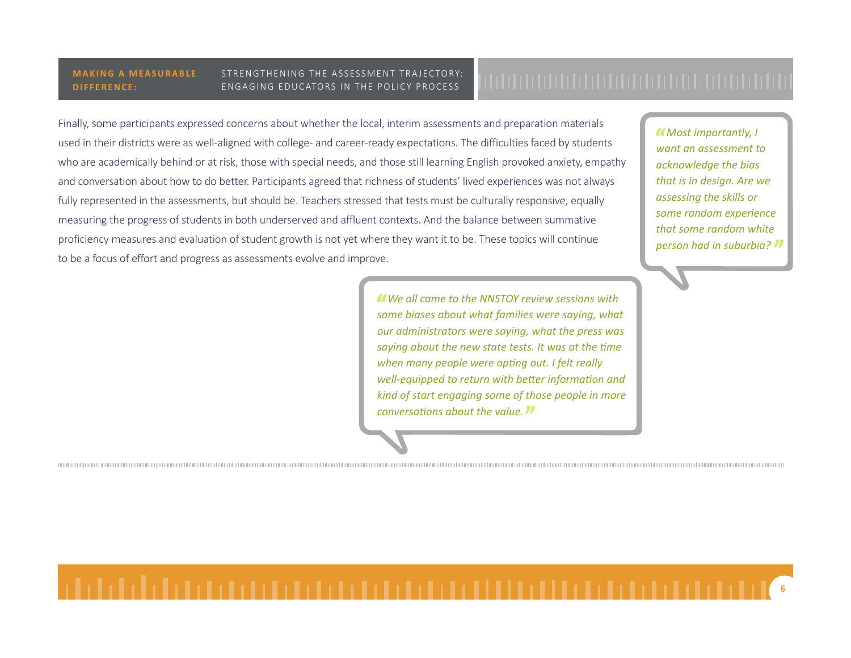Finally, some participants expressed concerns about whether the local, interim assessments and preparation materials used in their districts were as well-aligned with college- and career-ready expectations. The difficulties faced by students who are academically behind or at risk, those with special needs, and those still learning English provoked anxiety, empathy and conversation about how to do better. Participants agreed that richness of students' lived experiences was not always fully represented in the assessments, but should be. Teachers stressed that tests must be culturally responsive, equally measuring the progress of students in both underserved and affluent contexts. And the balance between summative proficiency measures and evaluation of student growth is not yet where they want it to be. These topics will continue to be a focus of effort and progress as assessments evolve and improve.

> *We all came to the NNSTOY review sessions with some biases about what families were saying, what our administrators were saying, what the press was saying about the new state tests. It was at the time when many people were opting out. I felt really well-equipped to return with better information and kind of start engaging some of those people in more conversations about the value.*

*Most importantly, I want an assessment to acknowledge the bias that is in design. Are we assessing the skills or some random experience that some random white person had in suburbia?*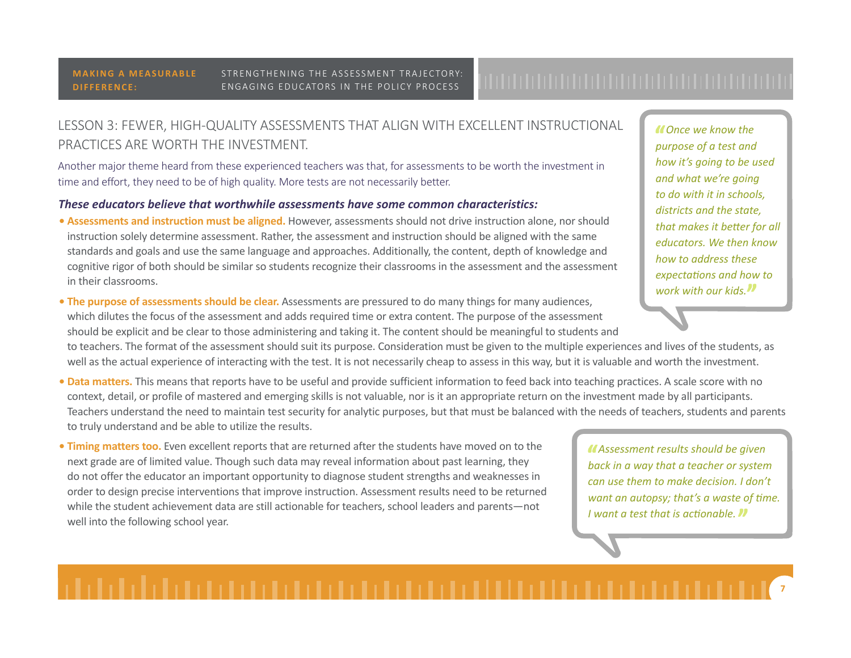LESSON 3: FEWER, HIGH-QUALITY ASSESSMENTS THAT ALIGN WITH EXCELLENT INSTRUCTIONAL PRACTICES ARE WORTH THE INVESTMENT.

Another major theme heard from these experienced teachers was that, for assessments to be worth the investment in time and effort, they need to be of high quality. More tests are not necessarily better.

### *These educators believe that worthwhile assessments have some common characteristics:*

**• Assessments and instruction must be aligned.** However, assessments should not drive instruction alone, nor should instruction solely determine assessment. Rather, the assessment and instruction should be aligned with the same standards and goals and use the same language and approaches. Additionally, the content, depth of knowledge and cognitive rigor of both should be similar so students recognize their classrooms in the assessment and the assessment in their classrooms.

**• The purpose of assessments should be clear.** Assessments are pressured to do many things for many audiences, which dilutes the focus of the assessment and adds required time or extra content. The purpose of the assessment should be explicit and be clear to those administering and taking it. The content should be meaningful to students and

to teachers. The format of the assessment should suit its purpose. Consideration must be given to the multiple experiences and lives of the students, as well as the actual experience of interacting with the test. It is not necessarily cheap to assess in this way, but it is valuable and worth the investment.

- **Data matters.** This means that reports have to be useful and provide sufficient information to feed back into teaching practices. A scale score with no context, detail, or profile of mastered and emerging skills is not valuable, nor is it an appropriate return on the investment made by all participants. Teachers understand the need to maintain test security for analytic purposes, but that must be balanced with the needs of teachers, students and parents to truly understand and be able to utilize the results.
- **Timing matters too.** Even excellent reports that are returned after the students have moved on to the next grade are of limited value. Though such data may reveal information about past learning, they do not offer the educator an important opportunity to diagnose student strengths and weaknesses in order to design precise interventions that improve instruction. Assessment results need to be returned while the student achievement data are still actionable for teachers, school leaders and parents—not well into the following school year.

*Once we know the purpose of a test and how it's going to be used and what we're going to do with it in schools, districts and the state, that makes it better for all educators. We then know how to address these expectations and how to work with our kids.*

*Assessment results should be given back in a way that a teacher or system can use them to make decision. I don't want an autopsy; that's a waste of time. I want a test that is actionable.*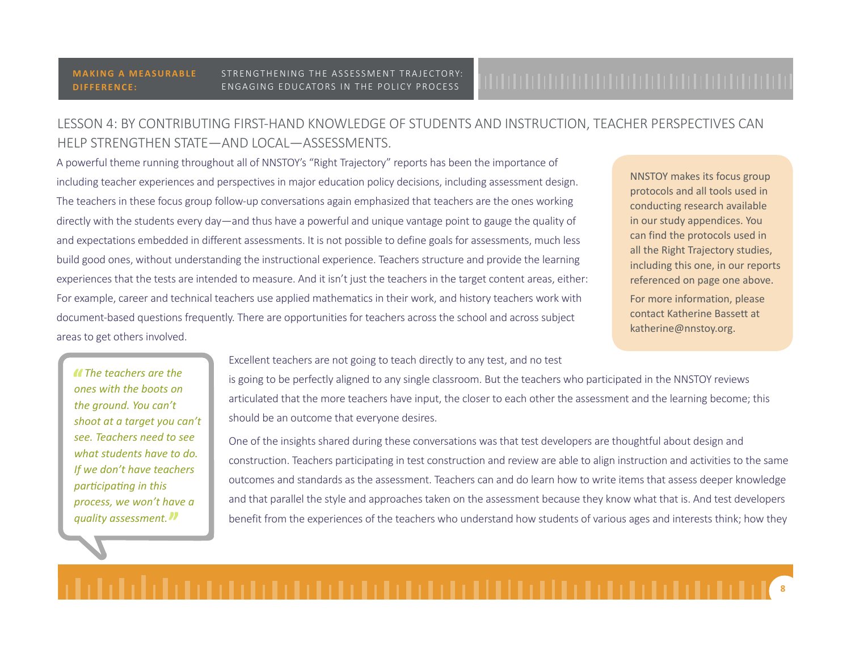# LESSON 4: BY CONTRIBUTING FIRST-HAND KNOWLEDGE OF STUDENTS AND INSTRUCTION, TEACHER PERSPECTIVES CAN HELP STRENGTHEN STATE—AND LOCAL—ASSESSMENTS.

A powerful theme running throughout all of NNSTOY's "Right Trajectory" reports has been the importance of including teacher experiences and perspectives in major education policy decisions, including assessment design. The teachers in these focus group follow-up conversations again emphasized that teachers are the ones working directly with the students every day—and thus have a powerful and unique vantage point to gauge the quality of and expectations embedded in different assessments. It is not possible to define goals for assessments, much less build good ones, without understanding the instructional experience. Teachers structure and provide the learning experiences that the tests are intended to measure. And it isn't just the teachers in the target content areas, either: For example, career and technical teachers use applied mathematics in their work, and history teachers work with document-based questions frequently. There are opportunities for teachers across the school and across subject areas to get others involved.

NNSTOY makes its focus group protocols and all tools used in conducting research available in our study appendices. You can find the protocols used in all the Right Trajectory studies, including this one, in our reports referenced on page one above.

For more information, please contact Katherine Bassett at katherine@nnstoy.org.

*The teachers are the ones with the boots on the ground. You can't shoot at a target you can't see. Teachers need to see what students have to do. If we don't have teachers participating in this process, we won't have a quality assessment.*

Excellent teachers are not going to teach directly to any test, and no test

is going to be perfectly aligned to any single classroom. But the teachers who participated in the NNSTOY reviews articulated that the more teachers have input, the closer to each other the assessment and the learning become; this should be an outcome that everyone desires.

One of the insights shared during these conversations was that test developers are thoughtful about design and construction. Teachers participating in test construction and review are able to align instruction and activities to the same outcomes and standards as the assessment. Teachers can and do learn how to write items that assess deeper knowledge and that parallel the style and approaches taken on the assessment because they know what that is. And test developers benefit from the experiences of the teachers who understand how students of various ages and interests think; how they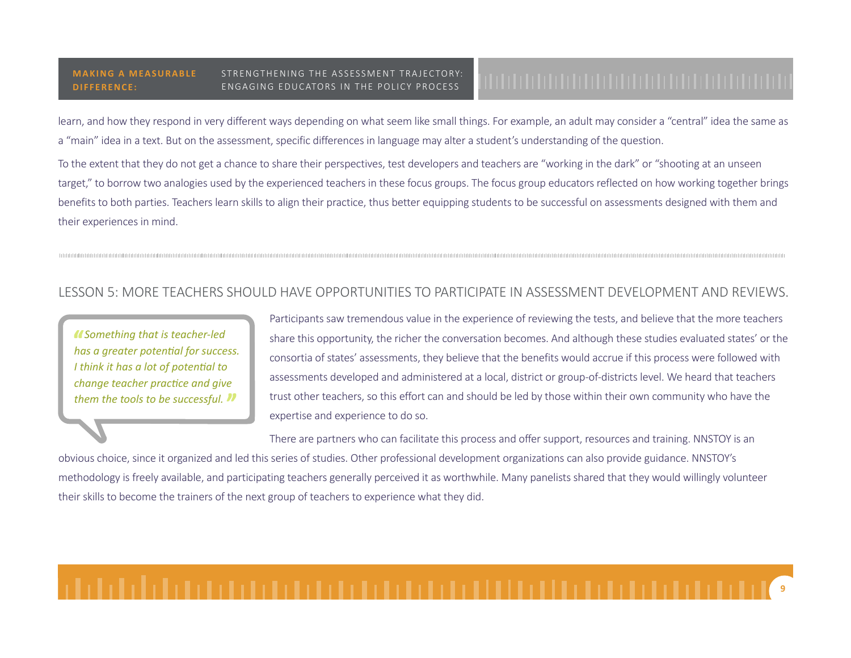learn, and how they respond in very different ways depending on what seem like small things. For example, an adult may consider a "central" idea the same as a "main" idea in a text. But on the assessment, specific differences in language may alter a student's understanding of the question.

To the extent that they do not get a chance to share their perspectives, test developers and teachers are "working in the dark" or "shooting at an unseen target," to borrow two analogies used by the experienced teachers in these focus groups. The focus group educators reflected on how working together brings benefits to both parties. Teachers learn skills to align their practice, thus better equipping students to be successful on assessments designed with them and their experiences in mind.

## LESSON 5: MORE TEACHERS SHOULD HAVE OPPORTUNITIES TO PARTICIPATE IN ASSESSMENT DEVELOPMENT AND REVIEWS.

*Something that is teacher-led has a greater potential for success. I think it has a lot of potential to change teacher practice and give them the tools to be successful.*

Participants saw tremendous value in the experience of reviewing the tests, and believe that the more teachers share this opportunity, the richer the conversation becomes. And although these studies evaluated states' or the consortia of states' assessments, they believe that the benefits would accrue if this process were followed with assessments developed and administered at a local, district or group-of-districts level. We heard that teachers trust other teachers, so this effort can and should be led by those within their own community who have the expertise and experience to do so.

There are partners who can facilitate this process and offer support, resources and training. NNSTOY is an obvious choice, since it organized and led this series of studies. Other professional development organizations can also provide guidance. NNSTOY's methodology is freely available, and participating teachers generally perceived it as worthwhile. Many panelists shared that they would willingly volunteer their skills to become the trainers of the next group of teachers to experience what they did.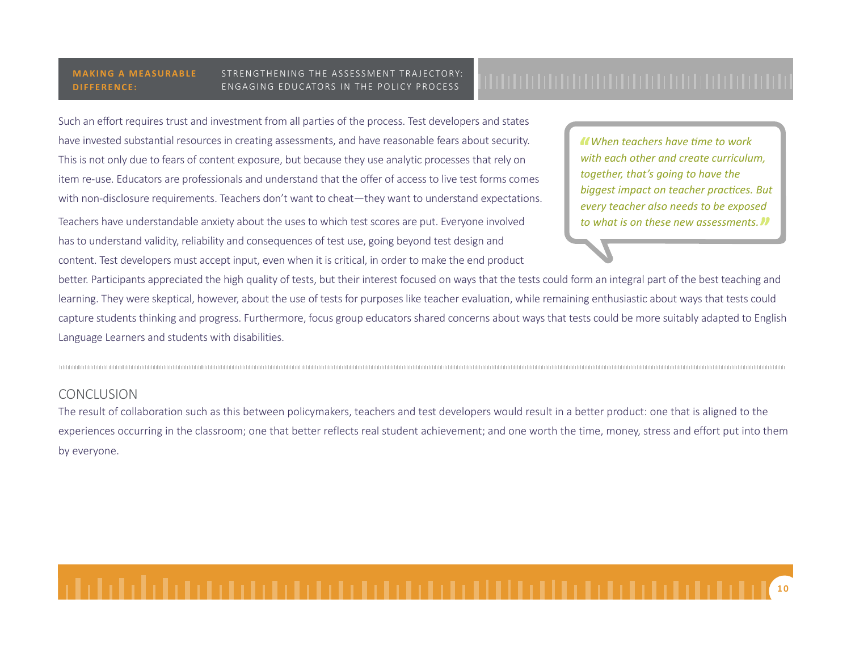Such an effort requires trust and investment from all parties of the process. Test developers and states have invested substantial resources in creating assessments, and have reasonable fears about security. This is not only due to fears of content exposure, but because they use analytic processes that rely on item re-use. Educators are professionals and understand that the offer of access to live test forms comes with non-disclosure requirements. Teachers don't want to cheat—they want to understand expectations.

Teachers have understandable anxiety about the uses to which test scores are put. Everyone involved has to understand validity, reliability and consequences of test use, going beyond test design and content. Test developers must accept input, even when it is critical, in order to make the end product

*When teachers have time to work with each other and create curriculum, together, that's going to have the biggest impact on teacher practices. But every teacher also needs to be exposed to what is on these new assessments.* 

better. Participants appreciated the high quality of tests, but their interest focused on ways that the tests could form an integral part of the best teaching and learning. They were skeptical, however, about the use of tests for purposes like teacher evaluation, while remaining enthusiastic about ways that tests could capture students thinking and progress. Furthermore, focus group educators shared concerns about ways that tests could be more suitably adapted to English Language Learners and students with disabilities.

## **CONCLUSION**

The result of collaboration such as this between policymakers, teachers and test developers would result in a better product: one that is aligned to the experiences occurring in the classroom; one that better reflects real student achievement; and one worth the time, money, stress and effort put into them by everyone.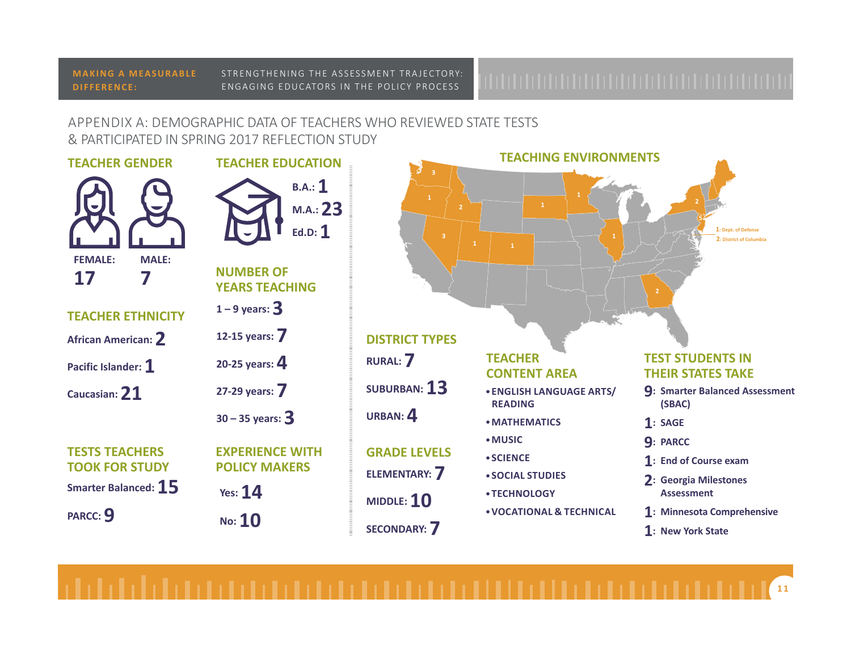### **MAKING A MEASURABLE DIFFERENCE:**

### STRENGTHENING THE ASSESSMENT TRAJECTORY: ENGAGING EDUCATORS IN THE POLICY PROCESS

# APPENDIX A: DEMOGRAPHIC DATA OF TEACHERS WHO REVIEWED STATE TESTS & PARTICIPATED IN SPRING 2017 REFLECTION STUDY



## **TEST STUDENTS IN THEIR STATES TAKE**

**2 5**

> **2: District of Columbia 1: Dept. of Defense**

- **9: Smarter Balanced Assessment (SBAC)**
- **1: SAGE**

**2**

- **9: PARCC**
- **1: End of Course exam**
- **2: Georgia Milestones Assessment**
- **1: Minnesota Comprehensive**
- **1: New York State**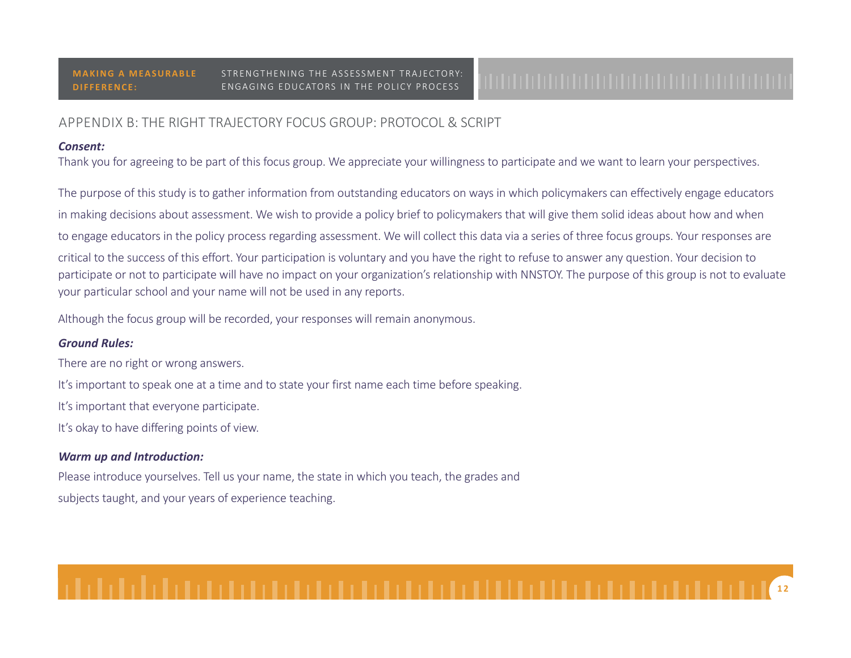# APPENDIX B: THE RIGHT TRAJECTORY FOCUS GROUP: PROTOCOL & SCRIPT

### *Consent:*

Thank you for agreeing to be part of this focus group. We appreciate your willingness to participate and we want to learn your perspectives.

The purpose of this study is to gather information from outstanding educators on ways in which policymakers can effectively engage educators in making decisions about assessment. We wish to provide a policy brief to policymakers that will give them solid ideas about how and when to engage educators in the policy process regarding assessment. We will collect this data via a series of three focus groups. Your responses are critical to the success of this effort. Your participation is voluntary and you have the right to refuse to answer any question. Your decision to participate or not to participate will have no impact on your organization's relationship with NNSTOY. The purpose of this group is not to evaluate your particular school and your name will not be used in any reports.

Although the focus group will be recorded, your responses will remain anonymous.

## *Ground Rules:*

There are no right or wrong answers.

It's important to speak one at a time and to state your first name each time before speaking.

It's important that everyone participate.

It's okay to have differing points of view.

# *Warm up and Introduction:*

Please introduce yourselves. Tell us your name, the state in which you teach, the grades and subjects taught, and your years of experience teaching.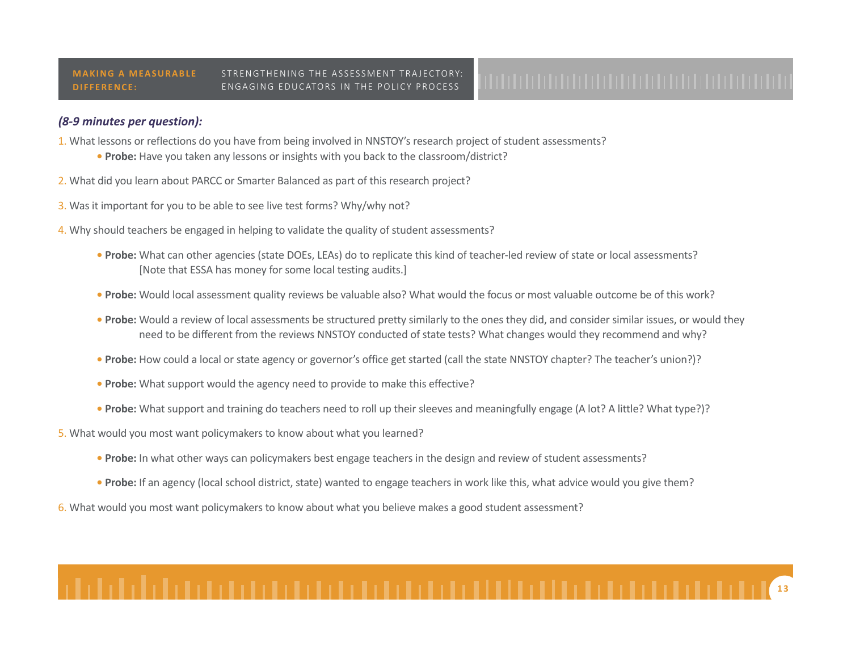### *(8-9 minutes per question):*

- 1. What lessons or reflections do you have from being involved in NNSTOY's research project of student assessments?
	- **Probe:** Have you taken any lessons or insights with you back to the classroom/district?
- 2. What did you learn about PARCC or Smarter Balanced as part of this research project?
- 3. Was it important for you to be able to see live test forms? Why/why not?
- 4. Why should teachers be engaged in helping to validate the quality of student assessments?
	- **Probe:** What can other agencies (state DOEs, LEAs) do to replicate this kind of teacher-led review of state or local assessments? [Note that ESSA has money for some local testing audits.]
	- **Probe:** Would local assessment quality reviews be valuable also? What would the focus or most valuable outcome be of this work?
	- **Probe:** Would a review of local assessments be structured pretty similarly to the ones they did, and consider similar issues, or would they need to be different from the reviews NNSTOY conducted of state tests? What changes would they recommend and why?
	- **Probe:** How could a local or state agency or governor's office get started (call the state NNSTOY chapter? The teacher's union?)?
	- **Probe:** What support would the agency need to provide to make this effective?
	- **Probe:** What support and training do teachers need to roll up their sleeves and meaningfully engage (A lot? A little? What type?)?
- 5. What would you most want policymakers to know about what you learned?
	- **Probe:** In what other ways can policymakers best engage teachers in the design and review of student assessments?
	- **Probe:** If an agency (local school district, state) wanted to engage teachers in work like this, what advice would you give them?
- 6. What would you most want policymakers to know about what you believe makes a good student assessment?